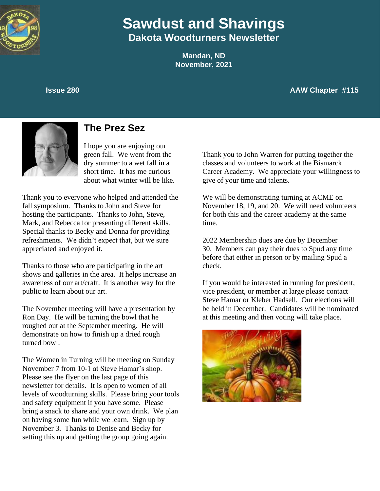

# **Sawdust and Shavings Dakota Woodturners Newsletter**

**Mandan, ND November, 2021**

### **Issue 280 AAW Chapter #115**



# **The Prez Sez**

I hope you are enjoying our green fall. We went from the dry summer to a wet fall in a short time. It has me curious about what winter will be like.

Thank you to everyone who helped and attended the fall symposium. Thanks to John and Steve for hosting the participants. Thanks to John, Steve, Mark, and Rebecca for presenting different skills. Special thanks to Becky and Donna for providing refreshments. We didn't expect that, but we sure appreciated and enjoyed it.

Thanks to those who are participating in the art shows and galleries in the area. It helps increase an awareness of our art/craft. It is another way for the public to learn about our art.

The November meeting will have a presentation by Ron Day. He will be turning the bowl that he roughed out at the September meeting. He will demonstrate on how to finish up a dried rough turned bowl.

The Women in Turning will be meeting on Sunday November 7 from 10-1 at Steve Hamar's shop. Please see the flyer on the last page of this newsletter for details. It is open to women of all levels of woodturning skills. Please bring your tools and safety equipment if you have some. Please bring a snack to share and your own drink. We plan on having some fun while we learn. Sign up by November 3. Thanks to Denise and Becky for setting this up and getting the group going again.

Thank you to John Warren for putting together the classes and volunteers to work at the Bismarck Career Academy. We appreciate your willingness to give of your time and talents.

We will be demonstrating turning at ACME on November 18, 19, and 20. We will need volunteers for both this and the career academy at the same time.

2022 Membership dues are due by December 30. Members can pay their dues to Spud any time before that either in person or by mailing Spud a check.

If you would be interested in running for president, vice president, or member at large please contact Steve Hamar or Kleber Hadsell. Our elections will be held in December. Candidates will be nominated at this meeting and then voting will take place.

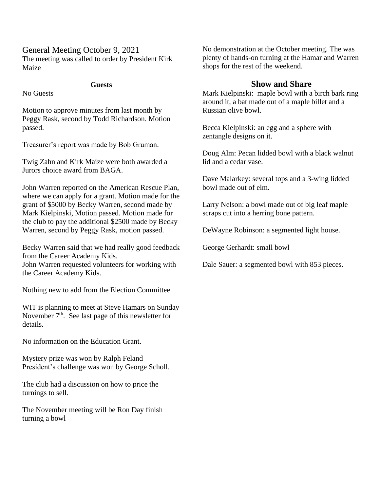## General Meeting October 9, 2021

The meeting was called to order by President Kirk Maize

#### **Guests**

No Guests

Motion to approve minutes from last month by Peggy Rask, second by Todd Richardson. Motion passed.

Treasurer's report was made by Bob Gruman.

Twig Zahn and Kirk Maize were both awarded a Jurors choice award from BAGA.

John Warren reported on the American Rescue Plan, where we can apply for a grant. Motion made for the grant of \$5000 by Becky Warren, second made by Mark Kielpinski, Motion passed. Motion made for the club to pay the additional \$2500 made by Becky Warren, second by Peggy Rask, motion passed.

Becky Warren said that we had really good feedback from the Career Academy Kids. John Warren requested volunteers for working with the Career Academy Kids.

Nothing new to add from the Election Committee.

WIT is planning to meet at Steve Hamars on Sunday November  $7<sup>th</sup>$ . See last page of this newsletter for details.

No information on the Education Grant.

Mystery prize was won by Ralph Feland President's challenge was won by George Scholl.

The club had a discussion on how to price the turnings to sell.

The November meeting will be Ron Day finish turning a bowl

No demonstration at the October meeting. The was plenty of hands-on turning at the Hamar and Warren shops for the rest of the weekend.

## **Show and Share**

Mark Kielpinski: maple bowl with a birch bark ring around it, a bat made out of a maple billet and a Russian olive bowl.

Becca Kielpinski: an egg and a sphere with zentangle designs on it.

Doug Alm: Pecan lidded bowl with a black walnut lid and a cedar vase.

Dave Malarkey: several tops and a 3-wing lidded bowl made out of elm.

Larry Nelson: a bowl made out of big leaf maple scraps cut into a herring bone pattern.

DeWayne Robinson: a segmented light house.

George Gerhardt: small bowl

Dale Sauer: a segmented bowl with 853 pieces.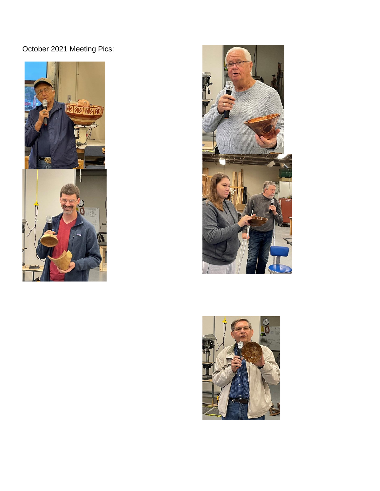October 2021 Meeting Pics:





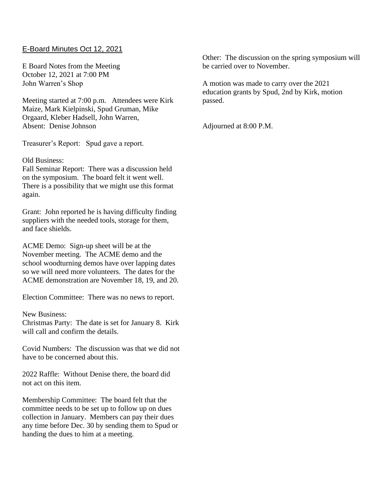### E-Board Minutes Oct 12, 2021

E Board Notes from the Meeting October 12, 2021 at 7:00 PM John Warren's Shop

Meeting started at 7:00 p.m. Attendees were Kirk Maize, Mark Kielpinski, Spud Gruman, Mike Orgaard, Kleber Hadsell, John Warren, Absent: Denise Johnson

Treasurer's Report: Spud gave a report.

Old Business:

Fall Seminar Report: There was a discussion held on the symposium. The board felt it went well. There is a possibility that we might use this format again.

Grant: John reported he is having difficulty finding suppliers with the needed tools, storage for them, and face shields.

ACME Demo: Sign-up sheet will be at the November meeting. The ACME demo and the school woodturning demos have over lapping dates so we will need more volunteers. The dates for the ACME demonstration are November 18, 19, and 20.

Election Committee: There was no news to report.

#### New Business:

Christmas Party: The date is set for January 8. Kirk will call and confirm the details.

Covid Numbers: The discussion was that we did not have to be concerned about this.

2022 Raffle: Without Denise there, the board did not act on this item.

Membership Committee: The board felt that the committee needs to be set up to follow up on dues collection in January. Members can pay their dues any time before Dec. 30 by sending them to Spud or handing the dues to him at a meeting.

Other: The discussion on the spring symposium will be carried over to November.

A motion was made to carry over the 2021 education grants by Spud, 2nd by Kirk, motion passed.

Adjourned at 8:00 P.M.